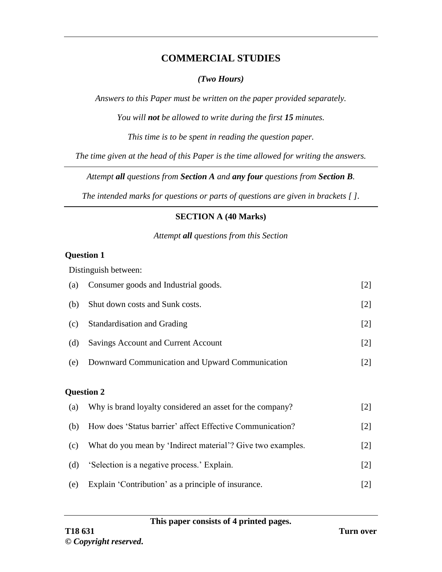## **COMMERCIAL STUDIES**

## *(Two Hours)*

*Answers to this Paper must be written on the paper provided separately.*

*You will not be allowed to write during the first 15 minutes.*

*This time is to be spent in reading the question paper.*

*The time given at the head of this Paper is the time allowed for writing the answers.*

*Attempt all questions from Section A and any four questions from Section B.*

*The intended marks for questions or parts of questions are given in brackets [ ].*

## **SECTION A (40 Marks)**

*Attempt all questions from this Section*

### **Question 1**

Distinguish between:

| (a) | Consumer goods and Industrial goods.                        | $[2]$ |
|-----|-------------------------------------------------------------|-------|
| (b) | Shut down costs and Sunk costs.                             | $[2]$ |
| (c) | Standardisation and Grading                                 | $[2]$ |
| (d) | <b>Savings Account and Current Account</b>                  | $[2]$ |
| (e) | Downward Communication and Upward Communication             | $[2]$ |
|     |                                                             |       |
|     | <b>Question 2</b>                                           |       |
| (a) | Why is brand loyalty considered an asset for the company?   | $[2]$ |
| (b) | How does 'Status barrier' affect Effective Communication?   | $[2]$ |
| (c) | What do you mean by 'Indirect material'? Give two examples. | $[2]$ |
| (d) | 'Selection is a negative process.' Explain.                 | $[2]$ |
| (e) | Explain 'Contribution' as a principle of insurance.         | $[2]$ |
|     |                                                             |       |

**This paper consists of 4 printed pages.**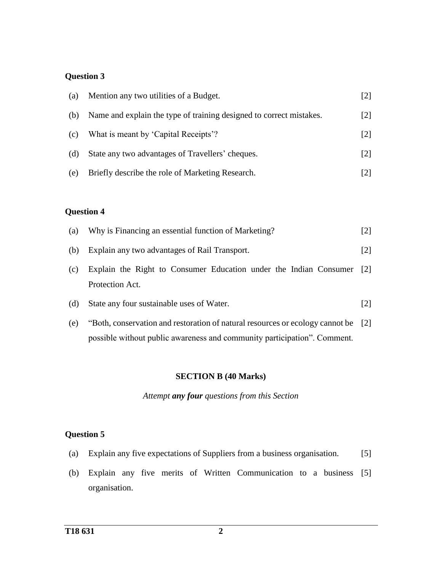## **Question 3**

| (a) | Mention any two utilities of a Budget.                              |                   |
|-----|---------------------------------------------------------------------|-------------------|
| (b) | Name and explain the type of training designed to correct mistakes. | $[2]$             |
| (c) | What is meant by 'Capital Receipts'?                                | $\lceil 2 \rceil$ |
| (d) | State any two advantages of Travellers' cheques.                    | $\lceil 2 \rceil$ |
| (e) | Briefly describe the role of Marketing Research.                    |                   |

## **Question 4**

| (a) | Why is Financing an essential function of Marketing?                                                                                                          | $\lceil 2 \rceil$ |  |  |
|-----|---------------------------------------------------------------------------------------------------------------------------------------------------------------|-------------------|--|--|
| (b) | Explain any two advantages of Rail Transport.                                                                                                                 |                   |  |  |
| (c) | Explain the Right to Consumer Education under the Indian Consumer [2]<br>Protection Act.                                                                      |                   |  |  |
| (d) | State any four sustainable uses of Water.                                                                                                                     | $\lceil 2 \rceil$ |  |  |
| (e) | "Both, conservation and restoration of natural resources or ecology cannot be [2]<br>possible without public awareness and community participation". Comment. |                   |  |  |

#### **SECTION B (40 Marks)**

*Attempt any four questions from this Section*

## **Question 5**

- (a) Explain any five expectations of Suppliers from a business organisation. [5]
- (b) Explain any five merits of Written Communication to a business [5]organisation.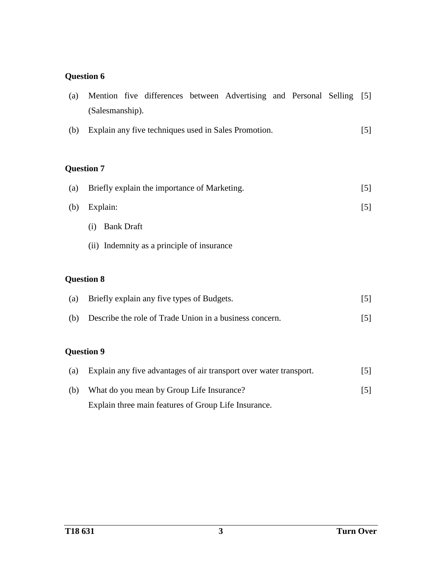# **Question 6**

| (a) | Mention five differences between Advertising and Personal Selling [5] |       |  |  |  |  |
|-----|-----------------------------------------------------------------------|-------|--|--|--|--|
|     | (Salesmanship).                                                       |       |  |  |  |  |
| (b) | Explain any five techniques used in Sales Promotion.                  |       |  |  |  |  |
|     |                                                                       |       |  |  |  |  |
|     | <b>Question 7</b>                                                     |       |  |  |  |  |
| (a) | Briefly explain the importance of Marketing.<br>[5]                   |       |  |  |  |  |
| (b) | Explain:                                                              |       |  |  |  |  |
|     | <b>Bank Draft</b><br>(i)                                              |       |  |  |  |  |
|     | (ii) Indemnity as a principle of insurance                            |       |  |  |  |  |
|     |                                                                       |       |  |  |  |  |
|     | <b>Question 8</b>                                                     |       |  |  |  |  |
| (a) | Briefly explain any five types of Budgets.                            |       |  |  |  |  |
| (b) | Describe the role of Trade Union in a business concern.               | $[5]$ |  |  |  |  |
|     |                                                                       |       |  |  |  |  |
|     | <b>Question 9</b>                                                     |       |  |  |  |  |
| (a) | Explain any five advantages of air transport over water transport.    | $[5]$ |  |  |  |  |

(b) What do you mean by Group Life Insurance? Explain three main features of Group Life Insurance. [5]